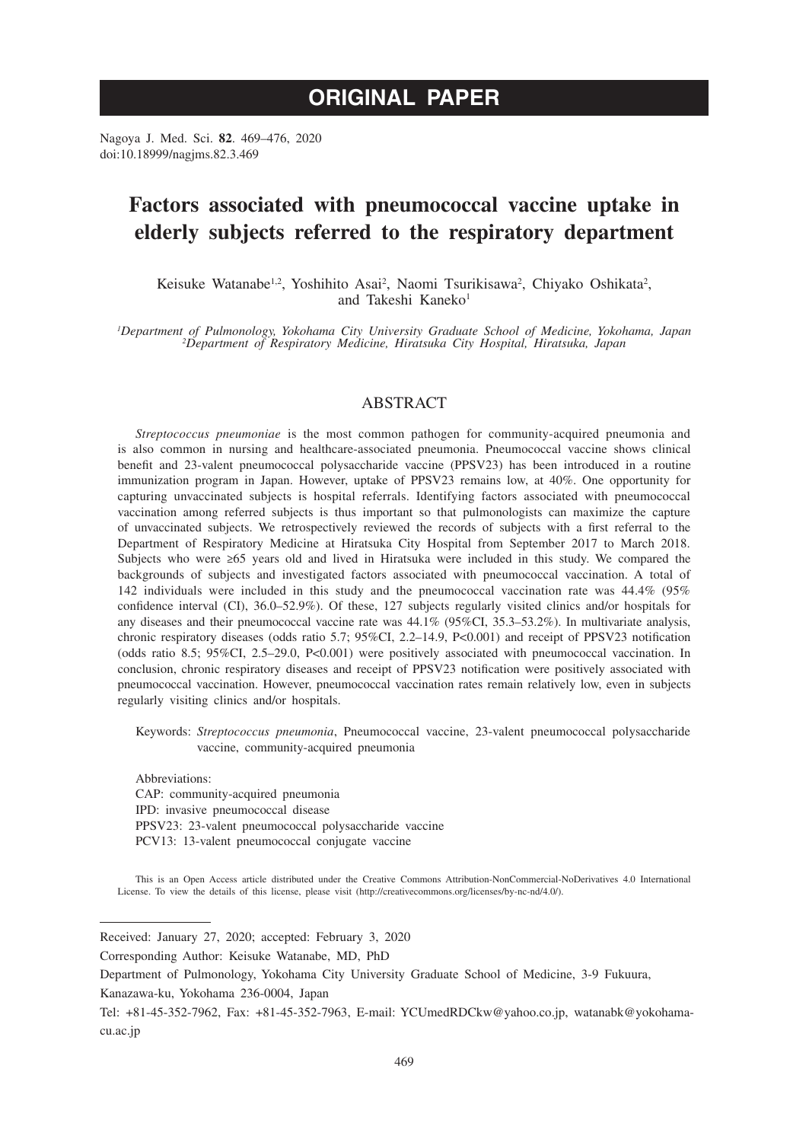# **ORIGINAL PAPER**

Nagoya J. Med. Sci. **82**. 469–476, 2020 doi:10.18999/nagjms.82.3.469

# **Factors associated with pneumococcal vaccine uptake in elderly subjects referred to the respiratory department**

Keisuke Watanabe<sup>1,2</sup>, Yoshihito Asai<sup>2</sup>, Naomi Tsurikisawa<sup>2</sup>, Chiyako Oshikata<sup>2</sup>, and Takeshi Kaneko<sup>1</sup>

*1 Department of Pulmonology, Yokohama City University Graduate School of Medicine, Yokohama, Japan <sup>2</sup> Department of Respiratory Medicine, Hiratsuka City Hospital, Hiratsuka, Japan*

# ABSTRACT

*Streptococcus pneumoniae* is the most common pathogen for community-acquired pneumonia and is also common in nursing and healthcare-associated pneumonia. Pneumococcal vaccine shows clinical benefit and 23-valent pneumococcal polysaccharide vaccine (PPSV23) has been introduced in a routine immunization program in Japan. However, uptake of PPSV23 remains low, at 40%. One opportunity for capturing unvaccinated subjects is hospital referrals. Identifying factors associated with pneumococcal vaccination among referred subjects is thus important so that pulmonologists can maximize the capture of unvaccinated subjects. We retrospectively reviewed the records of subjects with a first referral to the Department of Respiratory Medicine at Hiratsuka City Hospital from September 2017 to March 2018. Subjects who were ≥65 years old and lived in Hiratsuka were included in this study. We compared the backgrounds of subjects and investigated factors associated with pneumococcal vaccination. A total of 142 individuals were included in this study and the pneumococcal vaccination rate was 44.4% (95% confidence interval (CI), 36.0–52.9%). Of these, 127 subjects regularly visited clinics and/or hospitals for any diseases and their pneumococcal vaccine rate was 44.1% (95%CI, 35.3–53.2%). In multivariate analysis, chronic respiratory diseases (odds ratio 5.7; 95%CI, 2.2–14.9, P<0.001) and receipt of PPSV23 notification (odds ratio 8.5; 95%CI, 2.5–29.0, P<0.001) were positively associated with pneumococcal vaccination. In conclusion, chronic respiratory diseases and receipt of PPSV23 notification were positively associated with pneumococcal vaccination. However, pneumococcal vaccination rates remain relatively low, even in subjects regularly visiting clinics and/or hospitals.

Keywords: *Streptococcus pneumonia*, Pneumococcal vaccine, 23-valent pneumococcal polysaccharide vaccine, community-acquired pneumonia

Abbreviations: CAP: community-acquired pneumonia IPD: invasive pneumococcal disease PPSV23: 23-valent pneumococcal polysaccharide vaccine PCV13: 13-valent pneumococcal conjugate vaccine

This is an Open Access article distributed under the Creative Commons Attribution-NonCommercial-NoDerivatives 4.0 International License. To view the details of this license, please visit (http://creativecommons.org/licenses/by-nc-nd/4.0/).

Received: January 27, 2020; accepted: February 3, 2020

Corresponding Author: Keisuke Watanabe, MD, PhD

Department of Pulmonology, Yokohama City University Graduate School of Medicine, 3-9 Fukuura,

Kanazawa-ku, Yokohama 236-0004, Japan

Tel: +81-45-352-7962, Fax: +81-45-352-7963, E-mail: YCUmedRDCkw@yahoo.co.jp, watanabk@yokohamacu.ac.jp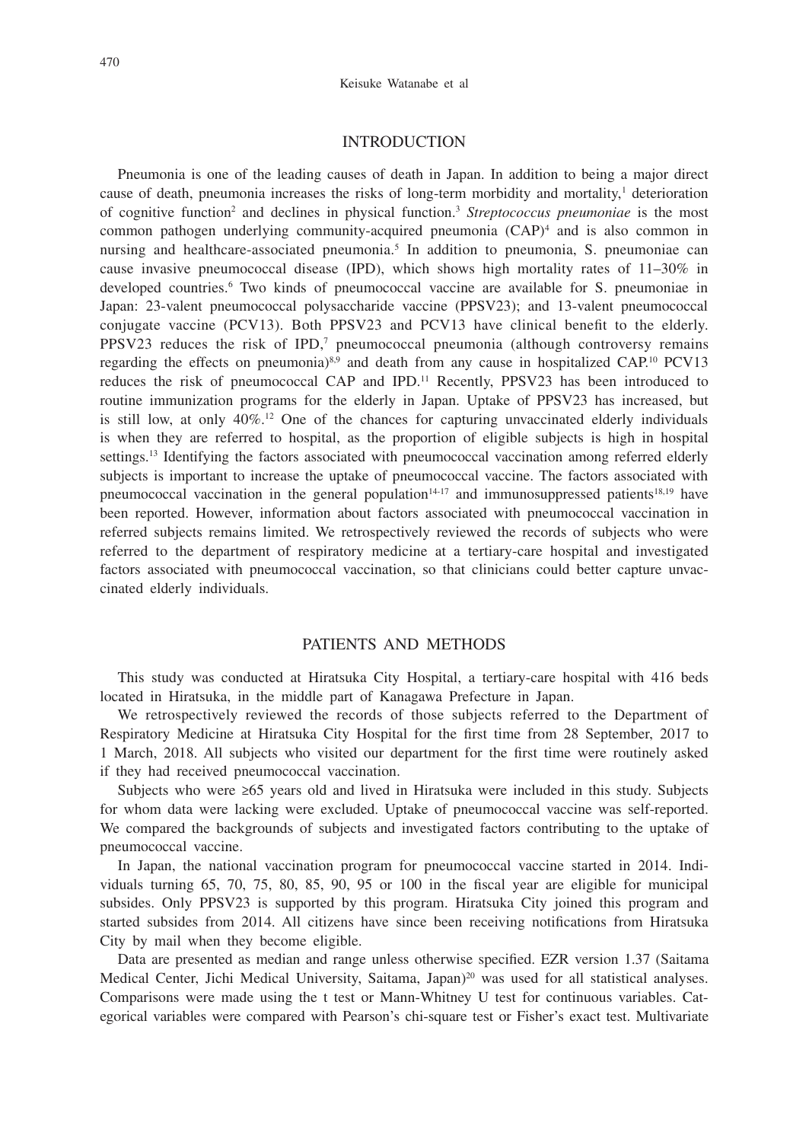#### INTRODUCTION

Pneumonia is one of the leading causes of death in Japan. In addition to being a major direct cause of death, pneumonia increases the risks of long-term morbidity and mortality, $\frac{1}{1}$  deterioration of cognitive function<sup>2</sup> and declines in physical function.<sup>3</sup> Streptococcus pneumoniae is the most common pathogen underlying community-acquired pneumonia (CAP)4 and is also common in nursing and healthcare-associated pneumonia.<sup>5</sup> In addition to pneumonia, S. pneumoniae can cause invasive pneumococcal disease (IPD), which shows high mortality rates of 11–30% in developed countries.<sup>6</sup> Two kinds of pneumococcal vaccine are available for S. pneumoniae in Japan: 23-valent pneumococcal polysaccharide vaccine (PPSV23); and 13-valent pneumococcal conjugate vaccine (PCV13). Both PPSV23 and PCV13 have clinical benefit to the elderly.  $PPSV23$  reduces the risk of  $IPD<sub>1</sub><sup>7</sup>$  pneumococcal pneumonia (although controversy remains regarding the effects on pneumonia) $8.9$  and death from any cause in hospitalized CAP.<sup>10</sup> PCV13 reduces the risk of pneumococcal CAP and IPD.<sup>11</sup> Recently, PPSV23 has been introduced to routine immunization programs for the elderly in Japan. Uptake of PPSV23 has increased, but is still low, at only  $40\%$ .<sup>12</sup> One of the chances for capturing unvaccinated elderly individuals is when they are referred to hospital, as the proportion of eligible subjects is high in hospital settings.<sup>13</sup> Identifying the factors associated with pneumococcal vaccination among referred elderly subjects is important to increase the uptake of pneumococcal vaccine. The factors associated with pneumococcal vaccination in the general population<sup>14-17</sup> and immunosuppressed patients<sup>18,19</sup> have been reported. However, information about factors associated with pneumococcal vaccination in referred subjects remains limited. We retrospectively reviewed the records of subjects who were referred to the department of respiratory medicine at a tertiary-care hospital and investigated factors associated with pneumococcal vaccination, so that clinicians could better capture unvaccinated elderly individuals.

### PATIENTS AND METHODS

This study was conducted at Hiratsuka City Hospital, a tertiary-care hospital with 416 beds located in Hiratsuka, in the middle part of Kanagawa Prefecture in Japan.

We retrospectively reviewed the records of those subjects referred to the Department of Respiratory Medicine at Hiratsuka City Hospital for the first time from 28 September, 2017 to 1 March, 2018. All subjects who visited our department for the first time were routinely asked if they had received pneumococcal vaccination.

Subjects who were ≥65 years old and lived in Hiratsuka were included in this study. Subjects for whom data were lacking were excluded. Uptake of pneumococcal vaccine was self-reported. We compared the backgrounds of subjects and investigated factors contributing to the uptake of pneumococcal vaccine.

In Japan, the national vaccination program for pneumococcal vaccine started in 2014. Individuals turning 65, 70, 75, 80, 85, 90, 95 or 100 in the fiscal year are eligible for municipal subsides. Only PPSV23 is supported by this program. Hiratsuka City joined this program and started subsides from 2014. All citizens have since been receiving notifications from Hiratsuka City by mail when they become eligible.

Data are presented as median and range unless otherwise specified. EZR version 1.37 (Saitama Medical Center, Jichi Medical University, Saitama, Japan)<sup>20</sup> was used for all statistical analyses. Comparisons were made using the t test or Mann-Whitney U test for continuous variables. Categorical variables were compared with Pearson's chi-square test or Fisher's exact test. Multivariate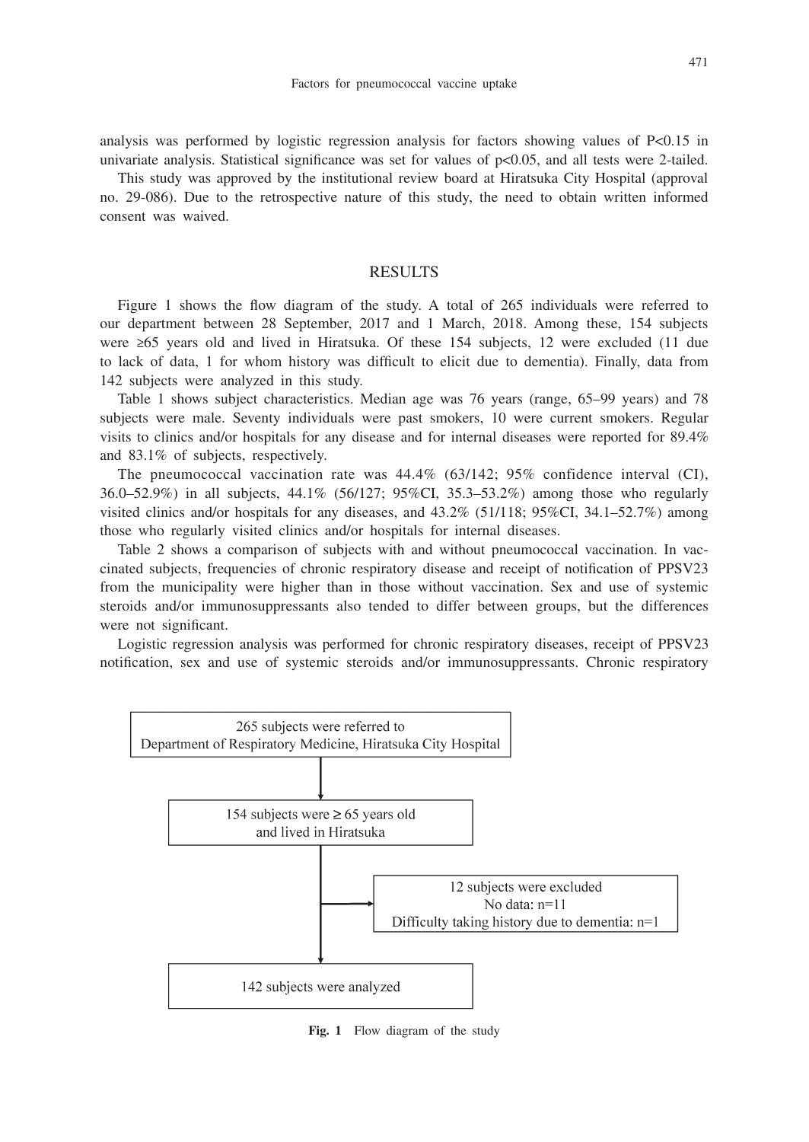analysis was performed by logistic regression analysis for factors showing values of P<0.15 in univariate analysis. Statistical significance was set for values of  $p<0.05$ , and all tests were 2-tailed.

This study was approved by the institutional review board at Hiratsuka City Hospital (approval no. 29-086). Due to the retrospective nature of this study, the need to obtain written informed consent was waived.

# RESULTS

Figure 1 shows the flow diagram of the study. A total of 265 individuals were referred to our department between 28 September, 2017 and 1 March, 2018. Among these, 154 subjects were ≥65 years old and lived in Hiratsuka. Of these 154 subjects, 12 were excluded (11 due to lack of data, 1 for whom history was difficult to elicit due to dementia). Finally, data from 142 subjects were analyzed in this study.

Table 1 shows subject characteristics. Median age was 76 years (range, 65–99 years) and 78 subjects were male. Seventy individuals were past smokers, 10 were current smokers. Regular visits to clinics and/or hospitals for any disease and for internal diseases were reported for 89.4% and 83.1% of subjects, respectively.

The pneumococcal vaccination rate was 44.4% (63/142; 95% confidence interval (CI), 36.0–52.9%) in all subjects, 44.1% (56/127; 95%CI, 35.3–53.2%) among those who regularly visited clinics and/or hospitals for any diseases, and 43.2% (51/118; 95%CI, 34.1–52.7%) among those who regularly visited clinics and/or hospitals for internal diseases.

Table 2 shows a comparison of subjects with and without pneumococcal vaccination. In vaccinated subjects, frequencies of chronic respiratory disease and receipt of notification of PPSV23 from the municipality were higher than in those without vaccination. Sex and use of systemic steroids and/or immunosuppressants also tended to differ between groups, but the differences were not significant.

Logistic regression analysis was performed for chronic respiratory diseases, receipt of PPSV23 notification, sex and use of systemic steroids and/or immunosuppressants. Chronic respiratory



**Fig. 1** Flow diagram of the study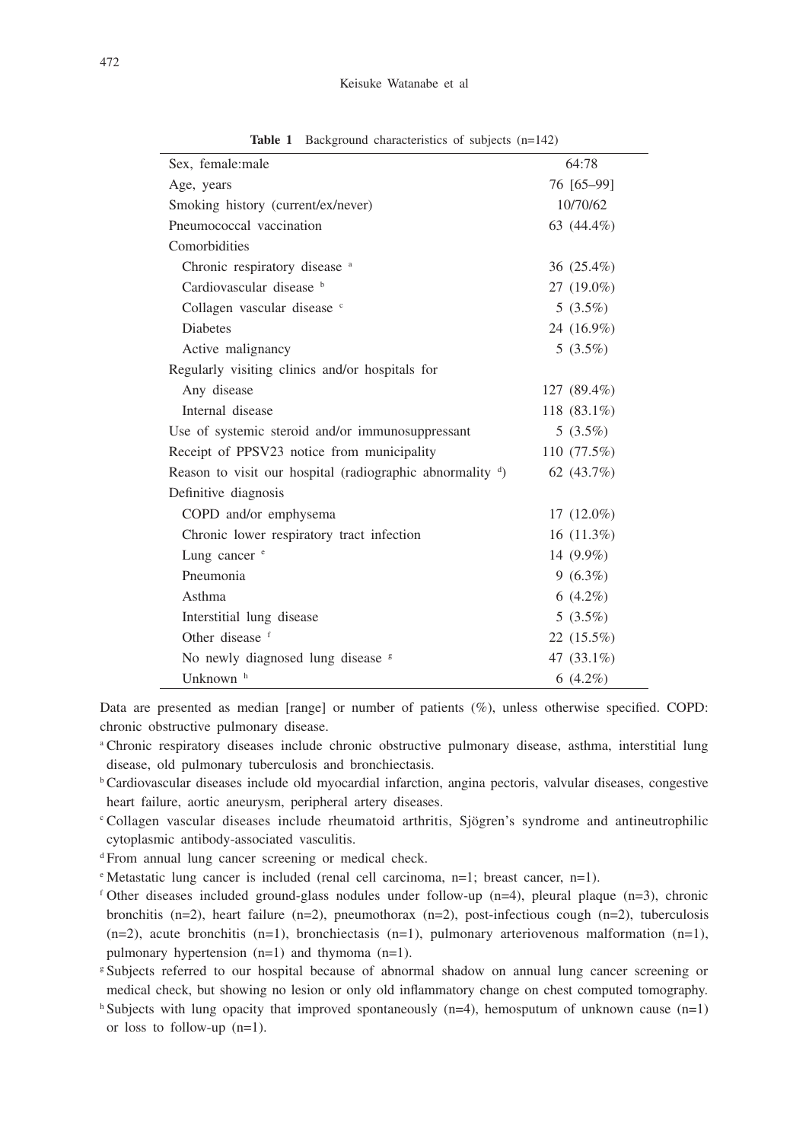| Sex, female:male                                                | 64:78          |
|-----------------------------------------------------------------|----------------|
| Age, years                                                      | 76 [65-99]     |
| Smoking history (current/ex/never)                              | 10/70/62       |
| Pneumococcal vaccination                                        | 63 (44.4%)     |
| Comorbidities                                                   |                |
| Chronic respiratory disease <sup>a</sup>                        | 36 (25.4%)     |
| Cardiovascular disease b                                        | $27(19.0\%)$   |
| Collagen vascular disease c                                     | $5(3.5\%)$     |
| <b>Diabetes</b>                                                 | 24 (16.9%)     |
| Active malignancy                                               | $5(3.5\%)$     |
| Regularly visiting clinics and/or hospitals for                 |                |
| Any disease                                                     | $127(89.4\%)$  |
| Internal disease                                                | 118 $(83.1\%)$ |
| Use of systemic steroid and/or immunosuppressant                | $5(3.5\%)$     |
| Receipt of PPSV23 notice from municipality                      | 110 $(77.5%)$  |
| Reason to visit our hospital (radiographic abnormality $\phi$ ) | 62 (43.7%)     |
| Definitive diagnosis                                            |                |
| COPD and/or emphysema                                           | $17(12.0\%)$   |
| Chronic lower respiratory tract infection                       | $16(11.3\%)$   |
| Lung cancer <sup>e</sup>                                        | 14 $(9.9\%)$   |
| Pneumonia                                                       | $9(6.3\%)$     |
| Asthma                                                          | $6(4.2\%)$     |
| Interstitial lung disease                                       | $5(3.5\%)$     |
| Other disease f                                                 | 22 (15.5%)     |
| No newly diagnosed lung disease <sup>s</sup>                    | 47 (33.1%)     |
| Unknown <sup>h</sup>                                            | 6 $(4.2\%)$    |

Table 1 Background characteristics of subjects (n=142)

Data are presented as median [range] or number of patients (%), unless otherwise specified. COPD: chronic obstructive pulmonary disease.

a Chronic respiratory diseases include chronic obstructive pulmonary disease, asthma, interstitial lung disease, old pulmonary tuberculosis and bronchiectasis.

- b Cardiovascular diseases include old myocardial infarction, angina pectoris, valvular diseases, congestive heart failure, aortic aneurysm, peripheral artery diseases.
- Collagen vascular diseases include rheumatoid arthritis, Sjögren's syndrome and antineutrophilic cytoplasmic antibody-associated vasculitis.
- <sup>d</sup> From annual lung cancer screening or medical check.
- <sup>e</sup> Metastatic lung cancer is included (renal cell carcinoma, n=1; breast cancer, n=1).
- f Other diseases included ground-glass nodules under follow-up (n=4), pleural plaque (n=3), chronic bronchitis  $(n=2)$ , heart failure  $(n=2)$ , pneumothorax  $(n=2)$ , post-infectious cough  $(n=2)$ , tuberculosis  $(n=2)$ , acute bronchitis  $(n=1)$ , bronchiectasis  $(n=1)$ , pulmonary arteriovenous malformation  $(n=1)$ , pulmonary hypertension (n=1) and thymoma (n=1).
- g Subjects referred to our hospital because of abnormal shadow on annual lung cancer screening or medical check, but showing no lesion or only old inflammatory change on chest computed tomography.
- h Subjects with lung opacity that improved spontaneously (n=4), hemosputum of unknown cause (n=1) or loss to follow-up (n=1).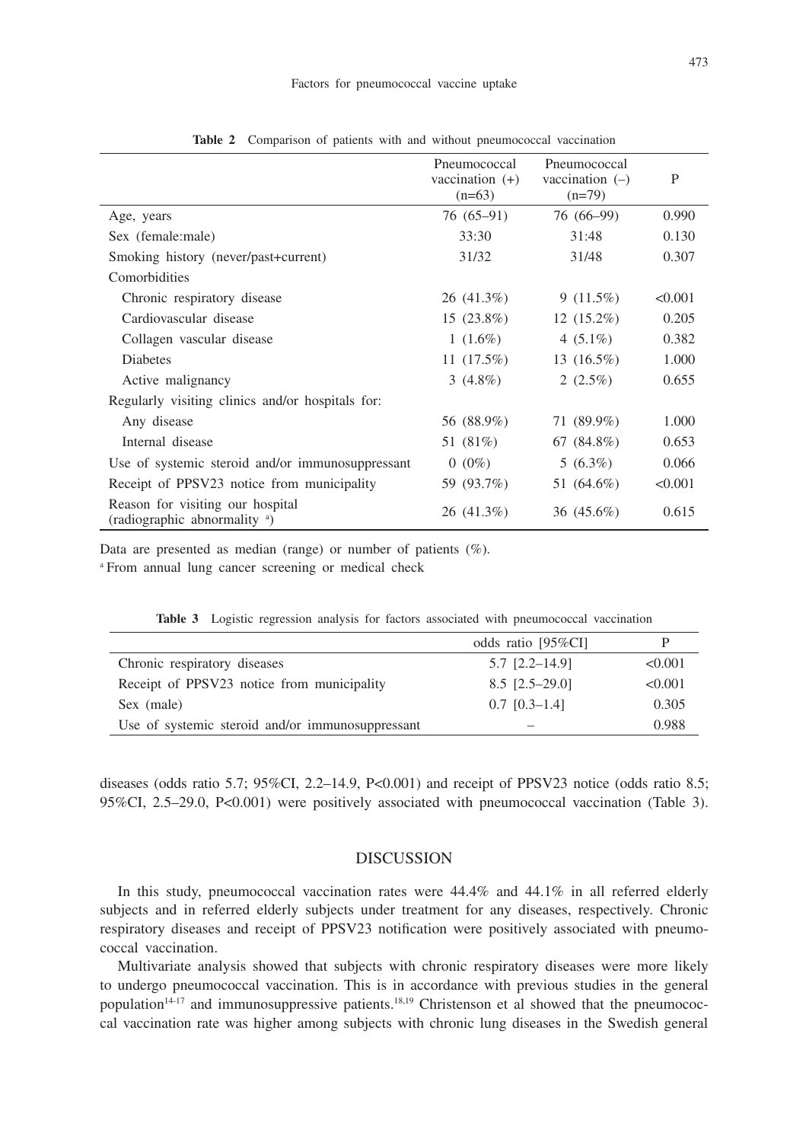|                                                                              | <b>FIICULIIOCOCCAL</b><br>vaccination $(+)$<br>$(n=63)$ | <b>FIICUIIIOCOCCAI</b><br>vaccination $(-)$<br>$(n=79)$ | P       |
|------------------------------------------------------------------------------|---------------------------------------------------------|---------------------------------------------------------|---------|
| Age, years                                                                   | $76(65-91)$                                             | 76 (66–99)                                              | 0.990   |
| Sex (female:male)                                                            | 33:30                                                   | 31:48                                                   | 0.130   |
| Smoking history (never/past+current)                                         | 31/32                                                   | 31/48                                                   | 0.307   |
| Comorbidities                                                                |                                                         |                                                         |         |
| Chronic respiratory disease                                                  | 26 (41.3%)                                              | 9(11.5%)                                                | < 0.001 |
| Cardiovascular disease                                                       | $15(23.8\%)$                                            | $12(15.2\%)$                                            | 0.205   |
| Collagen vascular disease                                                    | 1 $(1.6\%)$                                             | 4 $(5.1\%)$                                             | 0.382   |
| <b>Diabetes</b>                                                              | 11 $(17.5%)$                                            | $13(16.5\%)$                                            | 1.000   |
| Active malignancy                                                            | 3 $(4.8\%)$                                             | 2 $(2.5\%)$                                             | 0.655   |
| Regularly visiting clinics and/or hospitals for:                             |                                                         |                                                         |         |
| Any disease                                                                  | 56 (88.9%)                                              | 71 (89.9%)                                              | 1.000   |
| Internal disease                                                             | 51 (81%)                                                | 67 $(84.8\%)$                                           | 0.653   |
| Use of systemic steroid and/or immunosuppressant                             | $0(0\%)$                                                | $5(6.3\%)$                                              | 0.066   |
| Receipt of PPSV23 notice from municipality                                   | 59 (93.7%)                                              | 51 (64.6%)                                              | < 0.001 |
| Reason for visiting our hospital<br>(radiographic abnormality <sup>a</sup> ) | 26 (41.3%)                                              | 36 $(45.6\%)$                                           | 0.615   |

**Table 2** Comparison of patients with and without pneumococcal vaccination

Data are presented as median (range) or number of patients  $(\%)$ .

<sup>a</sup> From annual lung cancer screening or medical check

|                                                  | odds ratio [95%CI] |         |
|--------------------------------------------------|--------------------|---------|
| Chronic respiratory diseases                     | $5.7$ $[2.2-14.9]$ | < 0.001 |
| Receipt of PPSV23 notice from municipality       | $8.5$ [2.5-29.0]   | < 0.001 |
| Sex (male)                                       | $0.7$ $[0.3-1.4]$  | 0.305   |
| Use of systemic steroid and/or immunosuppressant |                    | 0.988   |

**Table 3** Logistic regression analysis for factors associated with pneumococcal vaccination

diseases (odds ratio 5.7; 95%CI, 2.2–14.9, P<0.001) and receipt of PPSV23 notice (odds ratio 8.5; 95%CI, 2.5–29.0, P<0.001) were positively associated with pneumococcal vaccination (Table 3).

#### DISCUSSION

In this study, pneumococcal vaccination rates were 44.4% and 44.1% in all referred elderly subjects and in referred elderly subjects under treatment for any diseases, respectively. Chronic respiratory diseases and receipt of PPSV23 notification were positively associated with pneumococcal vaccination.

Multivariate analysis showed that subjects with chronic respiratory diseases were more likely to undergo pneumococcal vaccination. This is in accordance with previous studies in the general population $14-17$  and immunosuppressive patients.<sup>18,19</sup> Christenson et al showed that the pneumococcal vaccination rate was higher among subjects with chronic lung diseases in the Swedish general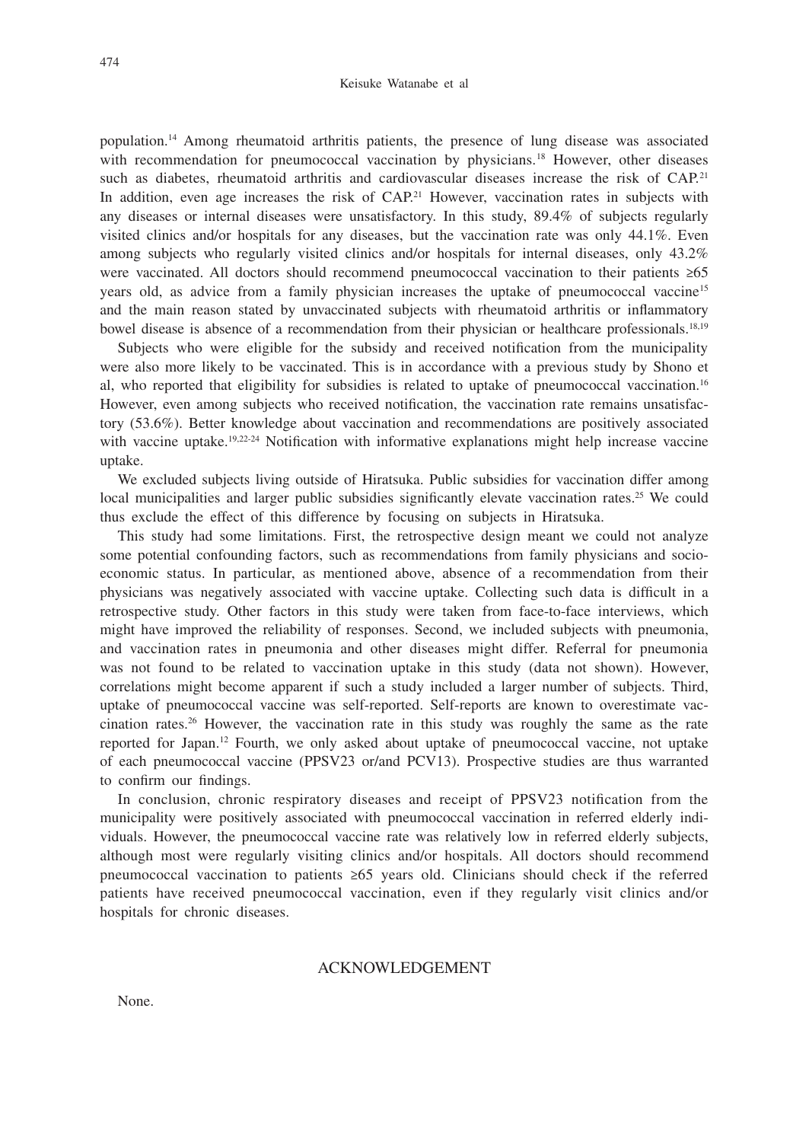population.14 Among rheumatoid arthritis patients, the presence of lung disease was associated with recommendation for pneumococcal vaccination by physicians.<sup>18</sup> However, other diseases such as diabetes, rheumatoid arthritis and cardiovascular diseases increase the risk of CAP.<sup>21</sup> In addition, even age increases the risk of  $CAP<sup>21</sup>$  However, vaccination rates in subjects with any diseases or internal diseases were unsatisfactory. In this study, 89.4% of subjects regularly visited clinics and/or hospitals for any diseases, but the vaccination rate was only 44.1%. Even among subjects who regularly visited clinics and/or hospitals for internal diseases, only 43.2% were vaccinated. All doctors should recommend pneumococcal vaccination to their patients ≥65 years old, as advice from a family physician increases the uptake of pneumococcal vaccine15 and the main reason stated by unvaccinated subjects with rheumatoid arthritis or inflammatory bowel disease is absence of a recommendation from their physician or healthcare professionals.<sup>18,19</sup>

Subjects who were eligible for the subsidy and received notification from the municipality were also more likely to be vaccinated. This is in accordance with a previous study by Shono et al, who reported that eligibility for subsidies is related to uptake of pneumococcal vaccination.16 However, even among subjects who received notification, the vaccination rate remains unsatisfactory (53.6%). Better knowledge about vaccination and recommendations are positively associated with vaccine uptake.<sup>19,22-24</sup> Notification with informative explanations might help increase vaccine uptake.

We excluded subjects living outside of Hiratsuka. Public subsidies for vaccination differ among local municipalities and larger public subsidies significantly elevate vaccination rates.<sup>25</sup> We could thus exclude the effect of this difference by focusing on subjects in Hiratsuka.

This study had some limitations. First, the retrospective design meant we could not analyze some potential confounding factors, such as recommendations from family physicians and socioeconomic status. In particular, as mentioned above, absence of a recommendation from their physicians was negatively associated with vaccine uptake. Collecting such data is difficult in a retrospective study. Other factors in this study were taken from face-to-face interviews, which might have improved the reliability of responses. Second, we included subjects with pneumonia, and vaccination rates in pneumonia and other diseases might differ. Referral for pneumonia was not found to be related to vaccination uptake in this study (data not shown). However, correlations might become apparent if such a study included a larger number of subjects. Third, uptake of pneumococcal vaccine was self-reported. Self-reports are known to overestimate vaccination rates.26 However, the vaccination rate in this study was roughly the same as the rate reported for Japan.12 Fourth, we only asked about uptake of pneumococcal vaccine, not uptake of each pneumococcal vaccine (PPSV23 or/and PCV13). Prospective studies are thus warranted to confirm our findings.

In conclusion, chronic respiratory diseases and receipt of PPSV23 notification from the municipality were positively associated with pneumococcal vaccination in referred elderly individuals. However, the pneumococcal vaccine rate was relatively low in referred elderly subjects, although most were regularly visiting clinics and/or hospitals. All doctors should recommend pneumococcal vaccination to patients ≥65 years old. Clinicians should check if the referred patients have received pneumococcal vaccination, even if they regularly visit clinics and/or hospitals for chronic diseases.

## ACKNOWLEDGEMENT

None.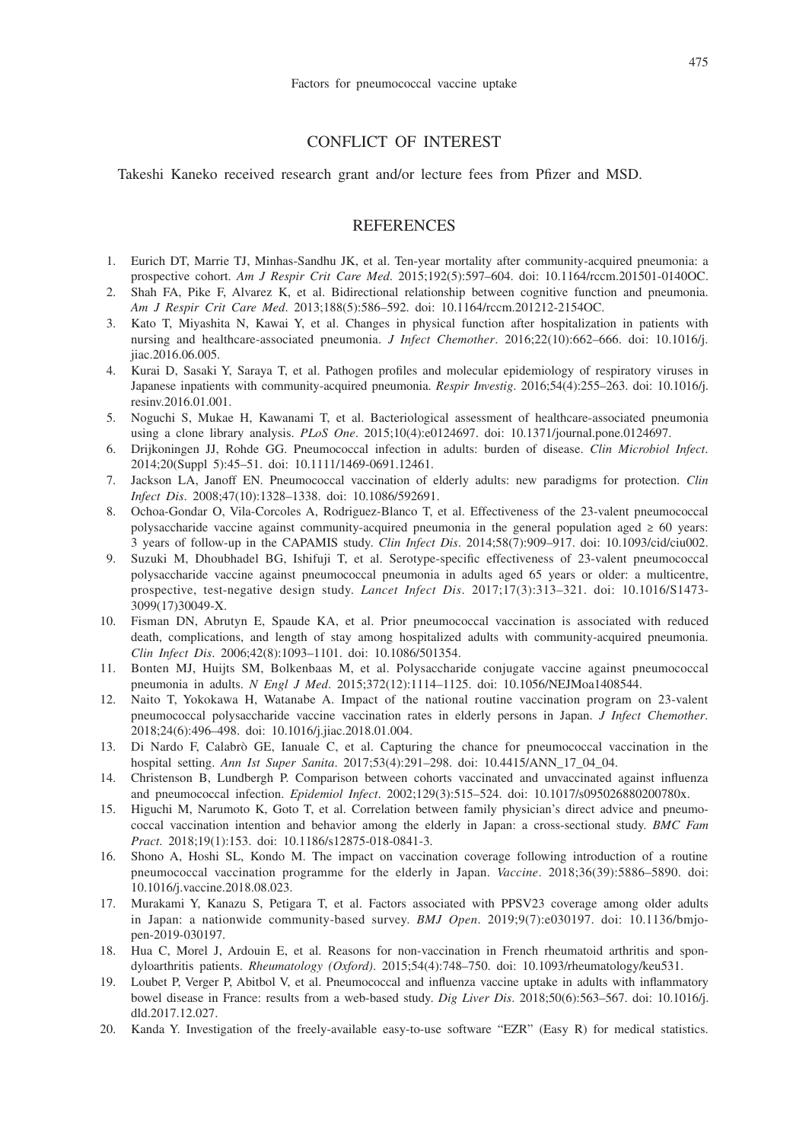#### CONFLICT OF INTEREST

#### Takeshi Kaneko received research grant and/or lecture fees from Pfizer and MSD.

# **REFERENCES**

- 1. Eurich DT, Marrie TJ, Minhas-Sandhu JK, et al. Ten-year mortality after community-acquired pneumonia: a prospective cohort. *Am J Respir Crit Care Med*. 2015;192(5):597–604. doi: 10.1164/rccm.201501-0140OC.
- 2. Shah FA, Pike F, Alvarez K, et al. Bidirectional relationship between cognitive function and pneumonia. *Am J Respir Crit Care Med*. 2013;188(5):586–592. doi: 10.1164/rccm.201212-2154OC.
- 3. Kato T, Miyashita N, Kawai Y, et al. Changes in physical function after hospitalization in patients with nursing and healthcare-associated pneumonia. *J Infect Chemother*. 2016;22(10):662–666. doi: 10.1016/j. ijac.2016.06.005.
- 4. Kurai D, Sasaki Y, Saraya T, et al. Pathogen profiles and molecular epidemiology of respiratory viruses in Japanese inpatients with community-acquired pneumonia. *Respir Investig*. 2016;54(4):255–263. doi: 10.1016/j. resinv.2016.01.001.
- 5. Noguchi S, Mukae H, Kawanami T, et al. Bacteriological assessment of healthcare-associated pneumonia using a clone library analysis. *PLoS One*. 2015;10(4):e0124697. doi: 10.1371/journal.pone.0124697.
- 6. Drijkoningen JJ, Rohde GG. Pneumococcal infection in adults: burden of disease. *Clin Microbiol Infect*. 2014;20(Suppl 5):45–51. doi: 10.1111/1469-0691.12461.
- 7. Jackson LA, Janoff EN. Pneumococcal vaccination of elderly adults: new paradigms for protection. *Clin Infect Dis*. 2008;47(10):1328–1338. doi: 10.1086/592691.
- 8. Ochoa-Gondar O, Vila-Corcoles A, Rodriguez-Blanco T, et al. Effectiveness of the 23-valent pneumococcal polysaccharide vaccine against community-acquired pneumonia in the general population aged ≥ 60 years: 3 years of follow-up in the CAPAMIS study. *Clin Infect Dis*. 2014;58(7):909–917. doi: 10.1093/cid/ciu002.
- 9. Suzuki M, Dhoubhadel BG, Ishifuji T, et al. Serotype-specific effectiveness of 23-valent pneumococcal polysaccharide vaccine against pneumococcal pneumonia in adults aged 65 years or older: a multicentre, prospective, test-negative design study. *Lancet Infect Dis*. 2017;17(3):313–321. doi: 10.1016/S1473- 3099(17)30049-X.
- 10. Fisman DN, Abrutyn E, Spaude KA, et al. Prior pneumococcal vaccination is associated with reduced death, complications, and length of stay among hospitalized adults with community-acquired pneumonia. *Clin Infect Dis*. 2006;42(8):1093–1101. doi: 10.1086/501354.
- 11. Bonten MJ, Huijts SM, Bolkenbaas M, et al. Polysaccharide conjugate vaccine against pneumococcal pneumonia in adults. *N Engl J Med*. 2015;372(12):1114–1125. doi: 10.1056/NEJMoa1408544.
- 12. Naito T, Yokokawa H, Watanabe A. Impact of the national routine vaccination program on 23-valent pneumococcal polysaccharide vaccine vaccination rates in elderly persons in Japan. *J Infect Chemother*. 2018;24(6):496–498. doi: 10.1016/j.jiac.2018.01.004.
- 13. Di Nardo F, Calabrò GE, Ianuale C, et al. Capturing the chance for pneumococcal vaccination in the hospital setting. *Ann Ist Super Sanita*. 2017;53(4):291–298. doi: 10.4415/ANN\_17\_04\_04.
- 14. Christenson B, Lundbergh P. Comparison between cohorts vaccinated and unvaccinated against influenza and pneumococcal infection. *Epidemiol Infect*. 2002;129(3):515–524. doi: 10.1017/s095026880200780x.
- 15. Higuchi M, Narumoto K, Goto T, et al. Correlation between family physician's direct advice and pneumococcal vaccination intention and behavior among the elderly in Japan: a cross-sectional study. *BMC Fam Pract*. 2018;19(1):153. doi: 10.1186/s12875-018-0841-3.
- 16. Shono A, Hoshi SL, Kondo M. The impact on vaccination coverage following introduction of a routine pneumococcal vaccination programme for the elderly in Japan. *Vaccine*. 2018;36(39):5886–5890. doi: 10.1016/j.vaccine.2018.08.023.
- 17. Murakami Y, Kanazu S, Petigara T, et al. Factors associated with PPSV23 coverage among older adults in Japan: a nationwide community-based survey. *BMJ Open*. 2019;9(7):e030197. doi: 10.1136/bmjopen-2019-030197.
- 18. Hua C, Morel J, Ardouin E, et al. Reasons for non-vaccination in French rheumatoid arthritis and spondyloarthritis patients. *Rheumatology (Oxford)*. 2015;54(4):748–750. doi: 10.1093/rheumatology/keu531.
- 19. Loubet P, Verger P, Abitbol V, et al. Pneumococcal and influenza vaccine uptake in adults with inflammatory bowel disease in France: results from a web-based study. *Dig Liver Dis*. 2018;50(6):563–567. doi: 10.1016/j. dld.2017.12.027.
- 20. Kanda Y. Investigation of the freely-available easy-to-use software "EZR" (Easy R) for medical statistics.